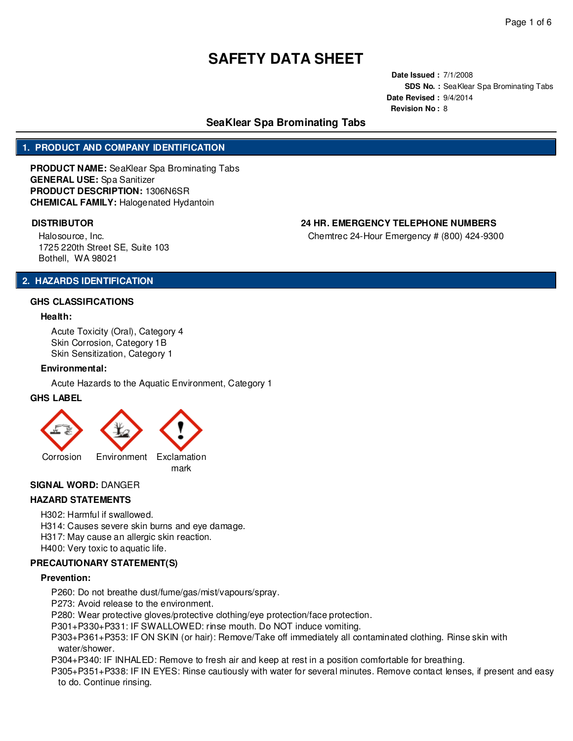**Date Issued :** 7/1/2008 **SDS No. :** SeaKlear Spa Brominating Tabs **Date Revised :** 9/4/2014 **Revision No :** 8

# **SeaKlear Spa Brominating Tabs**

## **1. PRODUCT AND COMPANY IDENTIFICATION**

**PRODUCT NAME:** SeaKlear Spa Brominating Tabs **GENERAL USE:** Spa Sanitizer **PRODUCT DESCRIPTION:** 1306N6SR **CHEMICAL FAMILY:** Halogenated Hydantoin

## **DISTRIBUTOR 24 HR. EMERGENCY TELEPHONE NUMBERS**

Chemtrec 24-Hour Emergency # (800) 424-9300

Halosource, Inc. 1725 220th Street SE, Suite 103 Bothell, WA 98021

# **2. HAZARDS IDENTIFICATION**

### **GHS CLASSIFICATIONS**

### **Health:**

Acute Toxicity (Oral), Category 4 Skin Corrosion, Category 1B Skin Sensitization, Category 1

#### **Environmental:**

Acute Hazards to the Aquatic Environment, Category 1

### **GHS LABEL**



### **SIGNAL WORD:** DANGER

### **HAZARD STATEMENTS**

- H302: Harmful if swallowed.
- H314: Causes severe skin burns and eye damage.
- H317: May cause an allergic skin reaction.
- H400: Very toxic to aquatic life.

# **PRECAUTIONARY STATEMENT(S)**

#### **Prevention:**

- P260: Do not breathe dust/fume/gas/mist/vapours/spray.
- P273: Avoid release to the environment.
- P280: Wear protective gloves/protective clothing/eye protection/face protection.
- P301+P330+P331: IF SWALLOWED: rinse mouth. Do NOT induce vomiting.
- P303+P361+P353: IF ON SKIN (or hair): Remove/Take off immediately all contaminated clothing. Rinse skin with water/shower.
- P304+P340: IF INHALED: Remove to fresh air and keep at rest in a position comfortable for breathing.
- P305+P351+P338: IF IN EYES: Rinse cautiously with water for several minutes. Remove contact lenses, if present and easy to do. Continue rinsing.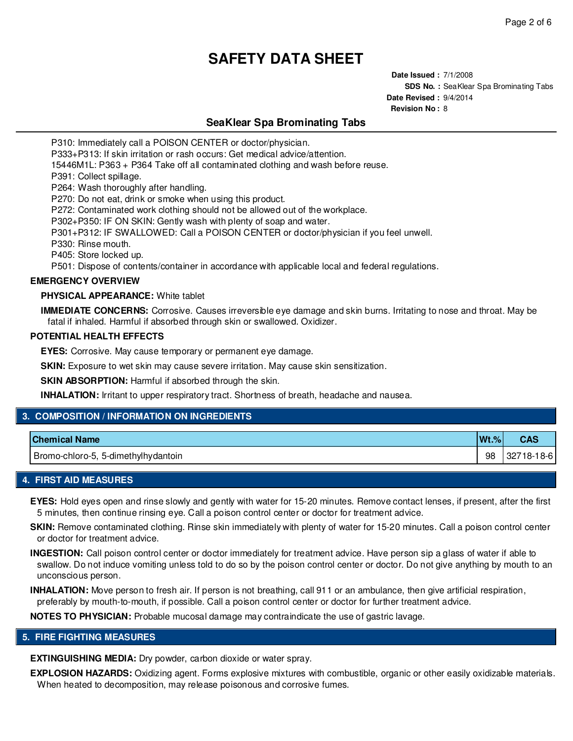**Date Issued :** 7/1/2008 **SDS No. :** SeaKlear Spa Brominating Tabs **Date Revised :** 9/4/2014 **Revision No :** 8

# **SeaKlear Spa Brominating Tabs**

P310: Immediately call a POISON CENTER or doctor/physician.

P333+P313: If skin irritation or rash occurs: Get medical advice/attention.

15446M1L: P363 + P364 Take off all contaminated clothing and wash before reuse.

P391: Collect spillage.

P264: Wash thoroughly after handling.

P270: Do not eat, drink or smoke when using this product.

P272: Contaminated work clothing should not be allowed out of the workplace.

P302+P350: IF ON SKIN: Gently wash with plenty of soap and water.

P301+P312: IF SWALLOWED: Call a POISON CENTER or doctor/physician if you feel unwell.

P330: Rinse mouth.

P405: Store locked up.

P501: Dispose of contents/container in accordance with applicable local and federal regulations.

### **EMERGENCY OVERVIEW**

### **PHYSICAL APPEARANCE:** White tablet

**IMMEDIATE CONCERNS:** Corrosive. Causes irreversible eye damage and skin burns. Irritating to nose and throat. May be fatal if inhaled. Harmful if absorbed through skin or swallowed. Oxidizer.

#### **POTENTIAL HEALTH EFFECTS**

**EYES:** Corrosive. May cause temporary or permanent eye damage.

**SKIN:** Exposure to wet skin may cause severe irritation. May cause skin sensitization.

**SKIN ABSORPTION:** Harmful if absorbed through the skin.

**INHALATION:** Irritant to upper respiratory tract. Shortness of breath, headache and nausea.

### **3. COMPOSITION / INFORMATION ON INGREDIENTS**

| <b>Chemical Name</b>                | $Wt.$ % | CAS        |
|-------------------------------------|---------|------------|
| Bromo-chloro-5, 5-dimethylhydantoin | 98      | 32718-18-6 |

# **4. FIRST AID MEASURES**

**EYES:** Hold eyes open and rinse slowly and gently with water for 15-20 minutes. Remove contact lenses, if present, after the first 5 minutes, then continue rinsing eye. Call a poison control center or doctor for treatment advice.

**SKIN:** Remove contaminated clothing. Rinse skin immediately with plenty of water for 15-20 minutes. Call a poison control center or doctor for treatment advice.

**INGESTION:** Call poison control center or doctor immediately for treatment advice. Have person sip a glass of water if able to swallow. Do not induce vomiting unless told to do so by the poison control center or doctor. Do not give anything by mouth to an unconscious person.

**INHALATION:** Move person to fresh air. If person is not breathing, call 911 or an ambulance, then give artificial respiration, preferably by mouth-to-mouth, if possible. Call a poison control center or doctor for further treatment advice.

**NOTES TO PHYSICIAN:** Probable mucosal damage may contraindicate the use of gastric lavage.

### **5. FIRE FIGHTING MEASURES**

**EXTINGUISHING MEDIA:** Dry powder, carbon dioxide or water spray.

**EXPLOSION HAZARDS:** Oxidizing agent. Forms explosive mixtures with combustible, organic or other easily oxidizable materials. When heated to decomposition, may release poisonous and corrosive fumes.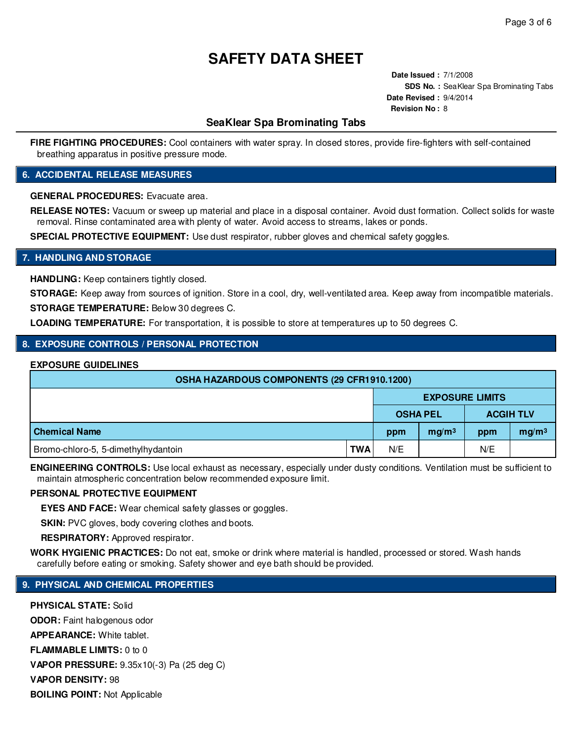**Date Issued :** 7/1/2008 **SDS No. :** SeaKlear Spa Brominating Tabs **Date Revised :** 9/4/2014 **Revision No :** 8

# **SeaKlear Spa Brominating Tabs**

**FIRE FIGHTING PROCEDURES:** Cool containers with water spray. In closed stores, provide fire-fighters with self-contained breathing apparatus in positive pressure mode.

### **6. ACCIDENTAL RELEASE MEASURES**

**GENERAL PROCEDURES:** Evacuate area.

**RELEASE NOTES:** Vacuum or sweep up material and place in a disposal container. Avoid dust formation. Collect solids for waste removal. Rinse contaminated area with plenty of water. Avoid access to streams, lakes or ponds.

**SPECIAL PROTECTIVE EQUIPMENT:** Use dust respirator, rubber gloves and chemical safety goggles.

# **7. HANDLING AND STORAGE**

**HANDLING:** Keep containers tightly closed.

**STORAGE:** Keep away from sources of ignition. Store in a cool, dry, well-ventilated area. Keep away from incompatible materials. **STORAGE TEMPERATURE:** Below 30 degrees C.

**LOADING TEMPERATURE:** For transportation, it is possible to store at temperatures up to 50 degrees C.

### **8. EXPOSURE CONTROLS / PERSONAL PROTECTION**

### **EXPOSURE GUIDELINES**

| <b>OSHA HAZARDOUS COMPONENTS (29 CFR1910.1200)</b> |            |                        |                   |                  |                   |  |  |
|----------------------------------------------------|------------|------------------------|-------------------|------------------|-------------------|--|--|
|                                                    |            | <b>EXPOSURE LIMITS</b> |                   |                  |                   |  |  |
|                                                    |            | <b>OSHA PEL</b>        |                   | <b>ACGIH TLV</b> |                   |  |  |
| <b>Chemical Name</b>                               |            | ppm                    | mg/m <sup>3</sup> | ppm              | mg/m <sup>3</sup> |  |  |
| Bromo-chloro-5, 5-dimethylhydantoin                | <b>TWA</b> | N/E                    |                   | N/E              |                   |  |  |

**ENGINEERING CONTROLS:** Use local exhaust as necessary, especially under dusty conditions. Ventilation must be sufficient to maintain atmospheric concentration below recommended exposure limit.

### **PERSONAL PROTECTIVE EQUIPMENT**

**EYES AND FACE:** Wear chemical safety glasses or goggles.

**SKIN:** PVC gloves, body covering clothes and boots.

**RESPIRATORY:** Approved respirator.

**WORK HYGIENIC PRACTICES:** Do not eat, smoke or drink where material is handled, processed or stored. Wash hands carefully before eating or smoking. Safety shower and eye bath should be provided.

## **9. PHYSICAL AND CHEMICAL PROPERTIES**

**PHYSICAL STATE:** Solid **ODOR:** Faint halogenous odor **APPEARANCE:** White tablet. **FLAMMABLE LIMITS:** 0 to 0 **VAPOR PRESSURE:** 9.35x10(-3) Pa (25 deg C) **VAPOR DENSITY:** 98 **BOILING POINT:** Not Applicable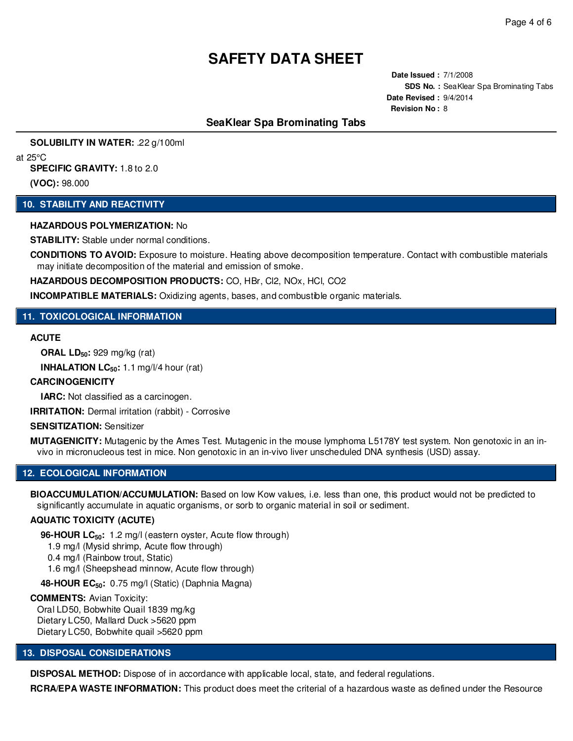**Date Issued :** 7/1/2008 **SDS No. :** SeaKlear Spa Brominating Tabs **Date Revised :** 9/4/2014 **Revision No :** 8

# **SeaKlear Spa Brominating Tabs**

**SOLUBILITY IN WATER:** .22 g/100ml

at 25°C

**SPECIFIC GRAVITY:** 1.8 to 2.0 **(VOC):** 98.000

### **10. STABILITY AND REACTIVITY**

### **HAZARDOUS POLYMERIZATION:** No

**STABILITY:** Stable under normal conditions.

**CONDITIONS TO AVOID:** Exposure to moisture. Heating above decomposition temperature. Contact with combustible materials may initiate decomposition of the material and emission of smoke.

**HAZARDOUS DECOMPOSITION PRODUCTS:** CO, HBr, Cl2, NOx, HCl, CO2

**INCOMPATIBLE MATERIALS:** Oxidizing agents, bases, and combustible organic materials.

### **11. TOXICOLOGICAL INFORMATION**

### **ACUTE**

**ORAL LD50:** 929 mg/kg (rat)

**INHALATION LC50:** 1.1 mg/l/4 hour (rat)

### **CARCINOGENICITY**

**IARC:** Not classified as a carcinogen.

**IRRITATION:** Dermal irritation (rabbit) - Corrosive

### **SENSITIZATION:** Sensitizer

**MUTAGENICITY:** Mutagenic by the Ames Test. Mutagenic in the mouse lymphoma L5178Y test system. Non genotoxic in an invivo in micronucleous test in mice. Non genotoxic in an in-vivo liver unscheduled DNA synthesis (USD) assay.

### **12. ECOLOGICAL INFORMATION**

**BIOACCUMULATION/ACCUMULATION:** Based on low Kow values, i.e. less than one, this product would not be predicted to significantly accumulate in aquatic organisms, or sorb to organic material in soil or sediment.

### **AQUATIC TOXICITY (ACUTE)**

**96-HOUR LC50:** 1.2 mg/l (eastern oyster, Acute flow through)

1.9 mg/l (Mysid shrimp, Acute flow through)

0.4 mg/l (Rainbow trout, Static)

1.6 mg/l (Sheepshead minnow, Acute flow through)

**48-HOUR EC50:** 0.75 mg/l (Static) (Daphnia Magna)

#### **COMMENTS:** Avian Toxicity:

Oral LD50, Bobwhite Quail 1839 mg/kg Dietary LC50, Mallard Duck >5620 ppm Dietary LC50, Bobwhite quail >5620 ppm

### **13. DISPOSAL CONSIDERATIONS**

**DISPOSAL METHOD:** Dispose of in accordance with applicable local, state, and federal regulations.

**RCRA/EPA WASTE INFORMATION:** This product does meet the criterial of a hazardous waste as defined under the Resource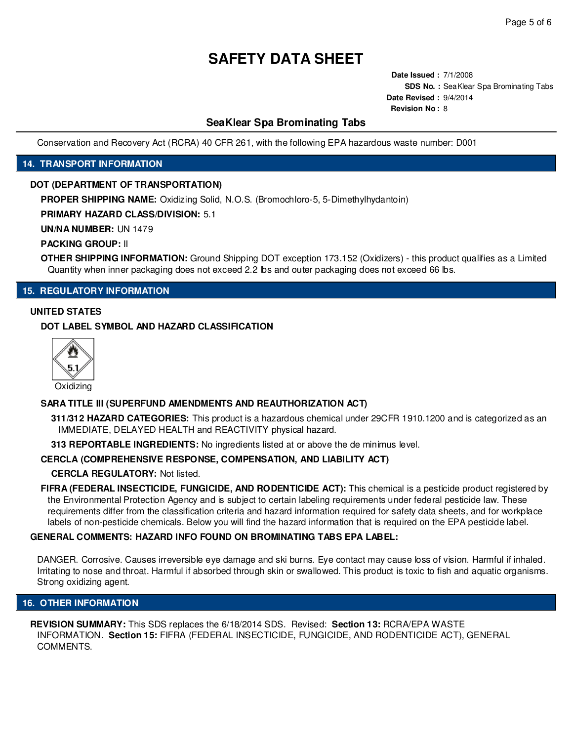**Date Issued :** 7/1/2008 **SDS No. :** SeaKlear Spa Brominating Tabs **Date Revised :** 9/4/2014 **Revision No :** 8

# **SeaKlear Spa Brominating Tabs**

Conservation and Recovery Act (RCRA) 40 CFR 261, with the following EPA hazardous waste number: D001

### **14. TRANSPORT INFORMATION**

### **DOT (DEPARTMENT OF TRANSPORTATION)**

**PROPER SHIPPING NAME:** Oxidizing Solid, N.O.S. (Bromochloro-5, 5-Dimethylhydantoin)

**PRIMARY HAZARD CLASS/DIVISION:** 5.1

**UN/NA NUMBER:** UN 1479

**PACKING GROUP:** II

**OTHER SHIPPING INFORMATION:** Ground Shipping DOT exception 173.152 (Oxidizers) - this product qualifies as a Limited Quantity when inner packaging does not exceed 2.2 lbs and outer packaging does not exceed 66 lbs.

# **15. REGULATORY INFORMATION**

### **UNITED STATES**

### **DOT LABEL SYMBOL AND HAZARD CLASSIFICATION**



### **SARA TITLE III (SUPERFUND AMENDMENTS AND REAUTHORIZATION ACT)**

**311/312 HAZARD CATEGORIES:** This product is a hazardous chemical under 29CFR 1910.1200 and is categorized as an IMMEDIATE, DELAYED HEALTH and REACTIVITY physical hazard.

**313 REPORTABLE INGREDIENTS:** No ingredients listed at or above the de minimus level.

### **CERCLA (COMPREHENSIVE RESPONSE, COMPENSATION, AND LIABILITY ACT)**

### **CERCLA REGULATORY:** Not listed.

**FIFRA (FEDERAL INSECTICIDE, FUNGICIDE, AND RODENTICIDE ACT):** This chemical is a pesticide product registered by the Environmental Protection Agency and is subject to certain labeling requirements under federal pesticide law. These requirements differ from the classification criteria and hazard information required for safety data sheets, and for workplace labels of non-pesticide chemicals. Below you will find the hazard information that is required on the EPA pesticide label.

### **GENERAL COMMENTS: HAZARD INFO FOUND ON BROMINATING TABS EPA LABEL:**

DANGER. Corrosive. Causes irreversible eye damage and ski burns. Eye contact may cause loss of vision. Harmful if inhaled. Irritating to nose and throat. Harmful if absorbed through skin or swallowed. This product is toxic to fish and aquatic organisms. Strong oxidizing agent.

### **16. OTHER INFORMATION**

**REVISION SUMMARY:** This SDS replaces the 6/18/2014 SDS. Revised: **Section 13:** RCRA/EPA WASTE INFORMATION. **Section 15:** FIFRA (FEDERAL INSECTICIDE, FUNGICIDE, AND RODENTICIDE ACT), GENERAL COMMENTS.